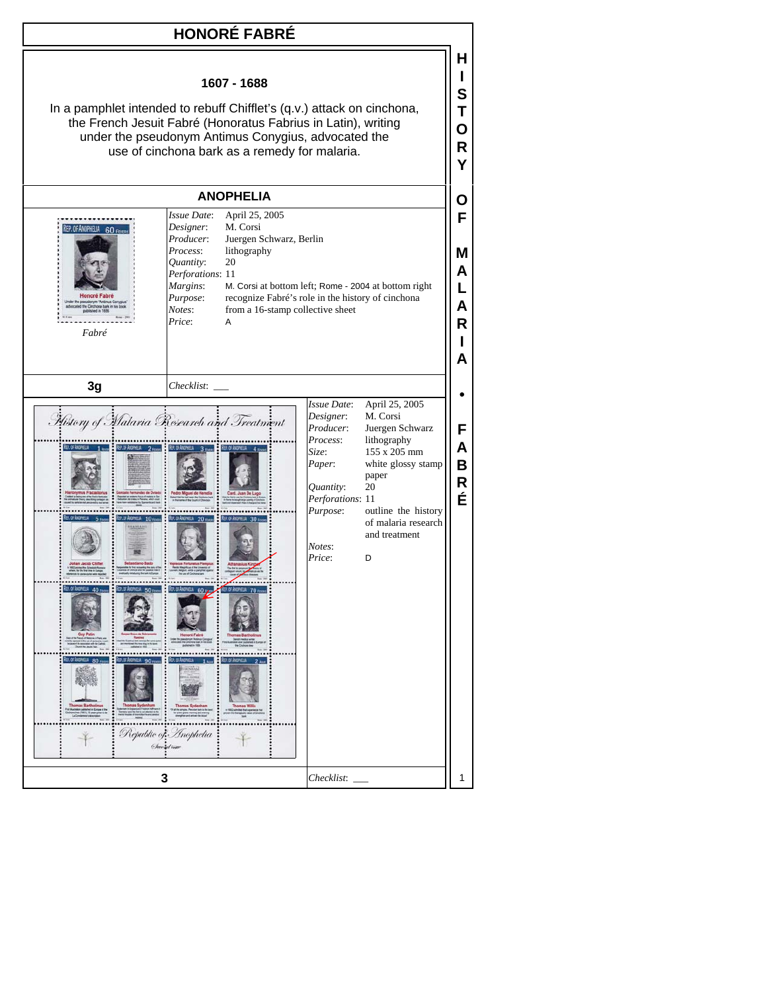## **HONORÉ FABRÉ**

**H I S T O R Y**

**O F**

**M A L A R I A**

**F A B R É**



Purpose: recognize Fabré's role in the history of cinchona

*Notes*: from a 16-stamp collective sheet

*Price*: A

*Fabré*

| 3g                                                                                                                                                                                                                                                                                               | Checklist:                                                                                                                                                                                                                                                                                                                                                                  |                                                                                                                                       |                                                                                                                                                                                       |                       |
|--------------------------------------------------------------------------------------------------------------------------------------------------------------------------------------------------------------------------------------------------------------------------------------------------|-----------------------------------------------------------------------------------------------------------------------------------------------------------------------------------------------------------------------------------------------------------------------------------------------------------------------------------------------------------------------------|---------------------------------------------------------------------------------------------------------------------------------------|---------------------------------------------------------------------------------------------------------------------------------------------------------------------------------------|-----------------------|
| REACK AND YELL<br>1 <sub>max</sub><br>nus Fracastorius<br>Gonzalo Fernández de Oviedo<br>5 mm<br>10 <sub>nm</sub><br><b>HANTAN</b><br>shan Jacob Chifle<br><b>EP. OF ANDRES</b> 40 Form<br>RD O ANNOU<br>50 <sub>o</sub><br><b>Gury Patte</b><br>EP. OF ANCHELL<br>RE-OF-MORELL 90 com<br>$80 -$ | History of Malaria Research and Treatment<br>REP. OF ANOPHELA 2 FORDS & REP. OF ANOPHELA 3 FORDS & REP. OF ANOPHELA 4 FORDS<br>Card, Juan De Luco<br>REP. OF ANOPHELIA 20 means REP. OF ANOPHELIA 30 means<br><b>CAR OF ANDREW 70 mem</b><br>REP. OF ANOMIELA<br>$60$ mass<br>REP. OF ANOPHELIA<br>R∓an≝<br><b>Thomas Sydenham</b><br>Republic of Inophelia<br>Chevrol time | Issue Date:<br>Designer:<br>Producer:<br>Process:<br>Size:<br>Paper:<br>Quantity:<br>Perforations: 11<br>Purpose:<br>Notes:<br>Price: | April 25, 2005<br>M. Corsi<br>Juergen Schwarz<br>lithography<br>155 x 205 mm<br>white glossy stamp<br>paper<br>20<br>outline the history<br>of malaria research<br>and treatment<br>D | F<br>Α<br>В<br>R<br>É |
| 3                                                                                                                                                                                                                                                                                                |                                                                                                                                                                                                                                                                                                                                                                             | Checklist:                                                                                                                            |                                                                                                                                                                                       |                       |